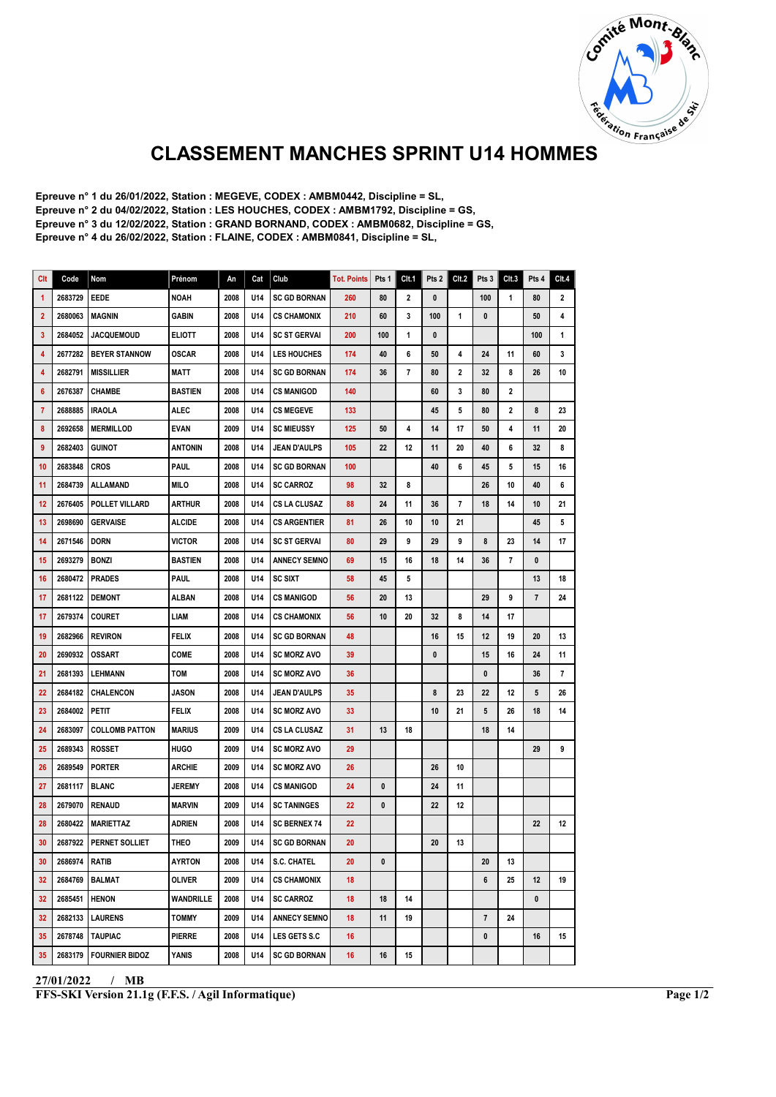

## CLASSEMENT MANCHES SPRINT U14 HOMMES

Epreuve n° 1 du 26/01/2022, Station : MEGEVE, CODEX : AMBM0442, Discipline = SL, Epreuve n° 2 du 04/02/2022, Station : LES HOUCHES, CODEX : AMBM1792, Discipline = GS, Epreuve n° 3 du 12/02/2022, Station : GRAND BORNAND, CODEX : AMBM0682, Discipline = GS, Epreuve n° 4 du 26/02/2022, Station : FLAINE, CODEX : AMBM0841, Discipline = SL,

| Clt            | Code            | Nom                   | Prénom         | An   | Cat | Club                | <b>Tot. Points</b> | Pts 1 | Clt.1 | Pts 2        | CIt.2 | Pts 3                   | Clt.3 | Pts 4                   | Clt.4                   |
|----------------|-----------------|-----------------------|----------------|------|-----|---------------------|--------------------|-------|-------|--------------|-------|-------------------------|-------|-------------------------|-------------------------|
| $\mathbf{1}$   | 2683729         | <b>EEDE</b>           | <b>NOAH</b>    | 2008 | U14 | <b>SC GD BORNAN</b> | 260                | 80    | 2     | 0            |       | 100                     | 1     | 80                      | $\overline{\mathbf{2}}$ |
| $\overline{2}$ | 2680063         | <b>MAGNIN</b>         | GABIN          | 2008 | U14 | <b>CS CHAMONIX</b>  | 210                | 60    | 3     | 100          | 1     | 0                       |       | 50                      | 4                       |
| 3              | 2684052         | <b>JACQUEMOUD</b>     | <b>ELIOTT</b>  | 2008 | U14 | <b>SC ST GERVAL</b> | 200                | 100   | 1     | $\mathbf{0}$ |       |                         |       | 100                     | $\mathbf{1}$            |
| 4              | 2677282         | <b>BEYER STANNOW</b>  | <b>OSCAR</b>   | 2008 | U14 | <b>LES HOUCHES</b>  | 174                | 40    | 6     | 50           | 4     | 24                      | 11    | 60                      | 3                       |
| 4              | 2682791         | <b>MISSILLIER</b>     | MATT           | 2008 | U14 | <b>SC GD BORNAN</b> | 174                | 36    | 7     | 80           | 2     | 32                      | 8     | 26                      | 10                      |
| 6              | 2676387         | <b>CHAMBE</b>         | <b>BASTIEN</b> | 2008 | U14 | <b>CS MANIGOD</b>   | 140                |       |       | 60           | 3     | 80                      | 2     |                         |                         |
| $\overline{7}$ | 2688885         | <b>IRAOLA</b>         | ALEC           | 2008 | U14 | <b>CS MEGEVE</b>    | 133                |       |       | 45           | 5     | 80                      | 2     | 8                       | 23                      |
| 8              | 2692658         | <b>IMERMILLOD</b>     | <b>EVAN</b>    | 2009 | U14 | <b>SC MIEUSSY</b>   | 125                | 50    | 4     | 14           | 17    | 50                      | 4     | 11                      | 20                      |
| 9              | 2682403         | <b>GUINOT</b>         | <b>ANTONIN</b> | 2008 | U14 | <b>JEAN D'AULPS</b> | 105                | 22    | 12    | 11           | 20    | 40                      | 6     | 32                      | 8                       |
| 10             | 2683848         | <b>CROS</b>           | <b>PAUL</b>    | 2008 | U14 | <b>SC GD BORNAN</b> | 100                |       |       | 40           | 6     | 45                      | 5     | 15                      | 16                      |
| 11             | 2684739         | ALLAMAND              | MILO           | 2008 | U14 | <b>SC CARROZ</b>    | 98                 | 32    | 8     |              |       | 26                      | 10    | 40                      | 6                       |
| 12             | 2676405         | <b>POLLET VILLARD</b> | <b>ARTHUR</b>  | 2008 | U14 | <b>CS LA CLUSAZ</b> | 88                 | 24    | 11    | 36           | 7     | 18                      | 14    | 10                      | 21                      |
| 13             | 2698690         | <b>GERVAISE</b>       | ALCIDE         | 2008 | U14 | <b>CS ARGENTIER</b> | 81                 | 26    | 10    | 10           | 21    |                         |       | 45                      | 5                       |
| 14             | 2671546         | <b>DORN</b>           | <b>VICTOR</b>  | 2008 | U14 | <b>SC ST GERVAI</b> | 80                 | 29    | 9     | 29           | 9     | 8                       | 23    | 14                      | 17                      |
| 15             | 2693279         | <b>BONZI</b>          | <b>BASTIEN</b> | 2008 | U14 | <b>ANNECY SEMNO</b> | 69                 | 15    | 16    | 18           | 14    | 36                      | 7     | 0                       |                         |
| 16             | 2680472         | <b>PRADES</b>         | <b>PAUL</b>    | 2008 | U14 | <b>SC SIXT</b>      | 58                 | 45    | 5     |              |       |                         |       | 13                      | 18                      |
| 17             | 2681122         | <b>DEMONT</b>         | ALBAN          | 2008 | U14 | <b>CS MANIGOD</b>   | 56                 | 20    | 13    |              |       | 29                      | 9     | $\overline{\mathbf{r}}$ | 24                      |
| 17             | 2679374         | <b>COURET</b>         | <b>LIAM</b>    | 2008 | U14 | <b>CS CHAMONIX</b>  | 56                 | 10    | 20    | 32           | 8     | 14                      | 17    |                         |                         |
| 19             | 2682966         | <b>REVIRON</b>        | <b>FELIX</b>   | 2008 | U14 | <b>SC GD BORNAN</b> | 48                 |       |       | 16           | 15    | 12                      | 19    | 20                      | 13                      |
| 20             | 2690932         | <b>OSSART</b>         | <b>COME</b>    | 2008 | U14 | <b>SC MORZ AVO</b>  | 39                 |       |       | 0            |       | 15                      | 16    | 24                      | 11                      |
| 21             | 2681393         | <b>LEHMANN</b>        | TOM            | 2008 | U14 | <b>SC MORZ AVO</b>  | 36                 |       |       |              |       | $\mathbf{0}$            |       | 36                      | 7                       |
| 22             | 2684182         | CHALENCON             | <b>JASON</b>   | 2008 | U14 | <b>JEAN D'AULPS</b> | 35                 |       |       | 8            | 23    | 22                      | 12    | 5                       | 26                      |
| 23             | 2684002         | Petit                 | FELIX          | 2008 | U14 | <b>SC MORZ AVO</b>  | 33                 |       |       | 10           | 21    | 5                       | 26    | 18                      | 14                      |
| 24             | 2683097         | <b>COLLOMB PATTON</b> | <b>MARIUS</b>  | 2009 | U14 | <b>CS LA CLUSAZ</b> | 31                 | 13    | 18    |              |       | 18                      | 14    |                         |                         |
| 25             | 2689343         | ROSSET                | HUGO           | 2009 | U14 | <b>SC MORZ AVO</b>  | 29                 |       |       |              |       |                         |       | 29                      | 9                       |
| 26             | 2689549         | <b>PORTER</b>         | ARCHIE         | 2009 | U14 | <b>SC MORZ AVO</b>  | 26                 |       |       | 26           | 10    |                         |       |                         |                         |
| 27             | 2681117         | <b>BLANC</b>          | <b>JEREMY</b>  | 2008 | U14 | <b>CS MANIGOD</b>   | 24                 | 0     |       | 24           | 11    |                         |       |                         |                         |
| 28             | 2679070         | <b>RENAUD</b>         | <b>MARVIN</b>  | 2009 | U14 | <b>SC TANINGES</b>  | 22                 | 0     |       | 22           | 12    |                         |       |                         |                         |
| 28             | 2680422         | <b>MARIETTAZ</b>      | ADRIEN         | 2008 | U14 | <b>SC BERNEX 74</b> | 22                 |       |       |              |       |                         |       | 22                      | 12                      |
| 30             | 2687922         | <b>PERNET SOLLIET</b> | THEO           | 2009 | U14 | <b>SC GD BORNAN</b> | 20                 |       |       | 20           | 13    |                         |       |                         |                         |
| 30             | 2686974   RATIB |                       | <b>AYRTON</b>  | 2008 | U14 | S.C. CHATEL         | 20                 | 0     |       |              |       | 20                      | 13    |                         |                         |
| 32             | 2684769         | <b>BALMAT</b>         | OLIVER         | 2009 | U14 | <b>CS CHAMONIX</b>  | 18                 |       |       |              |       | 6                       | 25    | 12                      | 19                      |
| 32             | 2685451         | <b>HENON</b>          | WANDRILLE      | 2008 | U14 | <b>SC CARROZ</b>    | 18                 | 18    | 14    |              |       |                         |       | $\mathbf{0}$            |                         |
| 32             | 2682133         | <b>LAURENS</b>        | <b>TOMMY</b>   | 2009 | U14 | <b>ANNECY SEMNO</b> | 18                 | 11    | 19    |              |       | $\overline{\mathbf{r}}$ | 24    |                         |                         |
| 35             | 2678748         | TAUPIAC               | PIERRE         | 2008 | U14 | LES GETS S.C        | 16                 |       |       |              |       | 0                       |       | 16                      | 15                      |
| 35             | 2683179         | <b>FOURNIER BIDOZ</b> | YANIS          | 2008 | U14 | <b>SC GD BORNAN</b> | 16                 | 16    | 15    |              |       |                         |       |                         |                         |